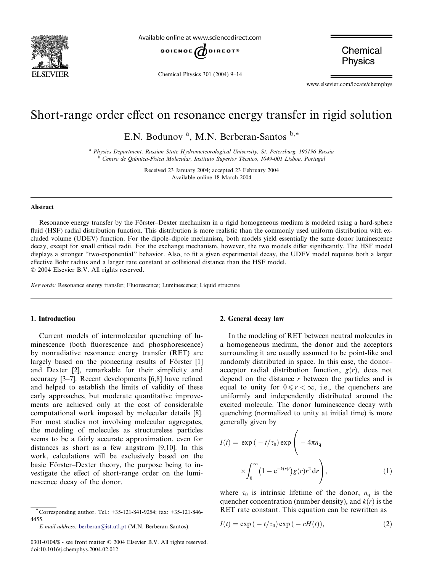

Available online at www.sciencedirect.com



Chemical Physics 301 (2004) 9–14

Chemical **Physics** 

www.elsevier.com/locate/chemphys

# Short-range order effect on resonance energy transfer in rigid solution

E.N. Bodunov<sup>a</sup>, M.N. Berberan-Santos b,\*

<sup>a</sup> Physics Department, Russian State Hydrometeorological University, St. Petersburg, 195196 Russia <sup>b</sup> Centro de Química-Física Molecular, Instituto Superior Técnico, 1049-001 Lisboa, Portugal

> Received 23 January 2004; accepted 23 February 2004 Available online 18 March 2004

#### Abstract

Resonance energy transfer by the Förster–Dexter mechanism in a rigid homogeneous medium is modeled using a hard-sphere fluid (HSF) radial distribution function. This distribution is more realistic than the commonly used uniform distribution with excluded volume (UDEV) function. For the dipole–dipole mechanism, both models yield essentially the same donor luminescence decay, except for small critical radii. For the exchange mechanism, however, the two models differ significantly. The HSF model displays a stronger ''two-exponential'' behavior. Also, to fit a given experimental decay, the UDEV model requires both a larger effective Bohr radius and a larger rate constant at collisional distance than the HSF model. 2004 Elsevier B.V. All rights reserved.

Keywords: Resonance energy transfer; Fluorescence; Luminescence; Liquid structure

#### 1. Introduction

Current models of intermolecular quenching of luminescence (both fluorescence and phosphorescence) by nonradiative resonance energy transfer (RET) are largely based on the pioneering results of Förster [1] and Dexter [2], remarkable for their simplicity and accuracy [3–7]. Recent developments [6,8] have refined and helped to establish the limits of validity of these early approaches, but moderate quantitative improvements are achieved only at the cost of considerable computational work imposed by molecular details [8]. For most studies not involving molecular aggregates, the modeling of molecules as structureless particles seems to be a fairly accurate approximation, even for distances as short as a few angstrom [9,10]. In this work, calculations will be exclusively based on the basic Förster–Dexter theory, the purpose being to investigate the effect of short-range order on the luminescence decay of the donor.

# 2. General decay law

In the modeling of RET between neutral molecules in a homogeneous medium, the donor and the acceptors surrounding it are usually assumed to be point-like and randomly distributed in space. In this case, the donor– acceptor radial distribution function,  $g(r)$ , does not depend on the distance  $r$  between the particles and is equal to unity for  $0 \le r < \infty$ , i.e., the quenchers are uniformly and independently distributed around the excited molecule. The donor luminescence decay with quenching (normalized to unity at initial time) is more generally given by

$$
I(t) = \exp(-t/\tau_0) \exp\left(-4\pi n_q
$$

$$
\times \int_0^\infty (1 - e^{-k(r)t}) g(r) r^2 dr\right), \tag{1}
$$

where  $\tau_0$  is intrinsic lifetime of the donor,  $n_q$  is the quencher concentration (number density), and  $k(r)$  is the RET rate constant. This equation can be rewritten as

$$
I(t) = \exp(-t/\tau_0) \exp(-cH(t)),
$$
\n(2)

<sup>\*</sup> Corresponding author. Tel.: +35-121-841-9254; fax: +35-121-846- 4455.

E-mail address: [berberan@ist.utl.pt](mail to: berberan@ist.utl.pt) (M.N. Berberan-Santos).

<sup>0301-0104/\$ -</sup> see front matter  $\odot$  2004 Elsevier B.V. All rights reserved. doi:10.1016/j.chemphys.2004.02.012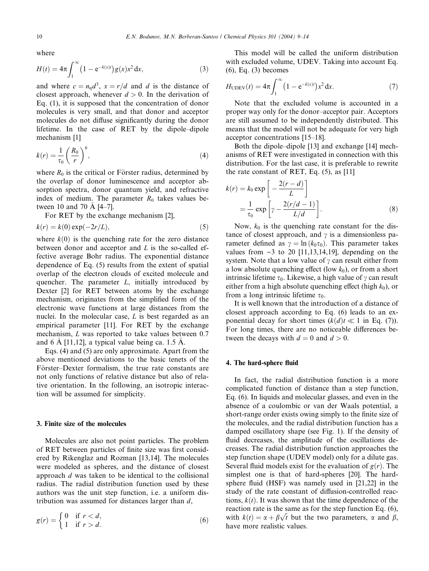where

$$
H(t) = 4\pi \int_{1}^{\infty} \left(1 - e^{-k(x)t}\right) g(x) x^2 dx,
$$
 (3)

and where  $c = n_q d^3$ ,  $x = r/d$  and d is the distance of closest approach, whenever  $d > 0$ . In the derivation of Eq. (1), it is supposed that the concentration of donor molecules is very small, and that donor and acceptor molecules do not diffuse significantly during the donor lifetime. In the case of RET by the dipole–dipole mechanism [1]

$$
k(r) = \frac{1}{\tau_0} \left(\frac{R_0}{r}\right)^6,\tag{4}
$$

where  $R_0$  is the critical or Förster radius, determined by the overlap of donor luminescence and acceptor absorption spectra, donor quantum yield, and refractive index of medium. The parameter  $R_0$  takes values between 10 and 70  $\AA$  [4–7].

For RET by the exchange mechanism [2],

$$
k(r) = k(0) \exp(-2r/L),\tag{5}
$$

where  $k(0)$  is the quenching rate for the zero distance between donor and acceptor and  $L$  is the so-called effective average Bohr radius. The exponential distance dependence of Eq. (5) results from the extent of spatial overlap of the electron clouds of excited molecule and quencher. The parameter  $L$ , initially introduced by Dexter [2] for RET between atoms by the exchange mechanism, originates from the simplified form of the electronic wave functions at large distances from the nuclei. In the molecular case, L is best regarded as an empirical parameter [11]. For RET by the exchange mechanism, L was reported to take values between 0.7 and 6 Å [11,12], a typical value being ca. 1.5 Å.

Eqs. (4) and (5) are only approximate. Apart from the above mentioned deviations to the basic tenets of the Förster–Dexter formalism, the true rate constants are not only functions of relative distance but also of relative orientation. In the following, an isotropic interaction will be assumed for simplicity.

#### 3. Finite size of the molecules

Molecules are also not point particles. The problem of RET between particles of finite size was first considered by Rikenglaz and Rozman [13,14]. The molecules were modeled as spheres, and the distance of closest approach d was taken to be identical to the collisional radius. The radial distribution function used by these authors was the unit step function, i.e. a uniform distribution was assumed for distances larger than  $d$ ,

$$
g(r) = \begin{cases} 0 & \text{if } r < d, \\ 1 & \text{if } r > d. \end{cases} \tag{6}
$$

This model will be called the uniform distribution with excluded volume, UDEV. Taking into account Eq. (6), Eq. (3) becomes

$$
H_{\text{UDEV}}(t) = 4\pi \int_{1}^{\infty} (1 - e^{-k(x)t}) x^2 dx.
$$
 (7)

Note that the excluded volume is accounted in a proper way only for the donor–acceptor pair. Acceptors are still assumed to be independently distributed. This means that the model will not be adequate for very high acceptor concentrations [15–18].

Both the dipole–dipole [13] and exchange [14] mechanisms of RET were investigated in connection with this distribution. For the last case, it is preferable to rewrite the rate constant of RET, Eq.  $(5)$ , as  $[11]$ 

$$
k(r) = k_0 \exp\left[-\frac{2(r-d)}{L}\right]
$$
  
=  $\frac{1}{\tau_0} \exp\left[\gamma - \frac{2(r/d-1)}{L/d}\right].$  (8)

Now,  $k_0$  is the quenching rate constant for the distance of closest approach, and  $\gamma$  is a dimensionless parameter defined as  $\gamma = \ln (k_0 \tau_0)$ . This parameter takes values from  $-3$  to 20 [11,13,14,19], depending on the system. Note that a low value of  $\gamma$  can result either from a low absolute quenching effect (low  $k_0$ ), or from a short intrinsic lifetime  $\tau_0$ . Likewise, a high value of  $\gamma$  can result either from a high absolute quenching effect (high  $k_0$ ), or from a long intrinsic lifetime  $\tau_0$ .

It is well known that the introduction of a distance of closest approach according to Eq. (6) leads to an exponential decay for short times  $(k(d)t \ll 1$  in Eq. (7)). For long times, there are no noticeable differences between the decays with  $d = 0$  and  $d > 0$ .

#### 4. The hard-sphere fluid

In fact, the radial distribution function is a more complicated function of distance than a step function, Eq. (6). In liquids and molecular glasses, and even in the absence of a coulombic or van der Waals potential, a short-range order exists owing simply to the finite size of the molecules, and the radial distribution function has a damped oscillatory shape (see Fig. 1). If the density of fluid decreases, the amplitude of the oscillations decreases. The radial distribution function approaches the step function shape (UDEV model) only for a dilute gas. Several fluid models exist for the evaluation of  $g(r)$ . The simplest one is that of hard-spheres [20]. The hardsphere fluid (HSF) was namely used in [21,22] in the study of the rate constant of diffusion-controlled reactions,  $k(t)$ . It was shown that the time dependence of the reaction rate is the same as for the step function Eq. (6), reaction rate is the same as for the step runction Eq. (0),<br>with  $k(t) = \alpha + \beta \sqrt{t}$  but the two parameters,  $\alpha$  and  $\beta$ , have more realistic values.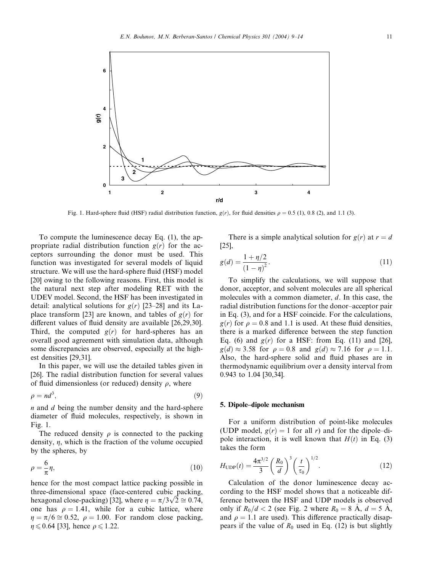

Fig. 1. Hard-sphere fluid (HSF) radial distribution function,  $g(r)$ , for fluid densities  $\rho = 0.5$  (1), 0.8 (2), and 1.1 (3).

To compute the luminescence decay Eq. (1), the appropriate radial distribution function  $g(r)$  for the acceptors surrounding the donor must be used. This function was investigated for several models of liquid structure. We will use the hard-sphere fluid (HSF) model [20] owing to the following reasons. First, this model is the natural next step after modeling RET with the UDEV model. Second, the HSF has been investigated in detail: analytical solutions for  $g(r)$  [23–28] and its Laplace transform [23] are known, and tables of  $g(r)$  for different values of fluid density are available [26,29,30]. Third, the computed  $g(r)$  for hard-spheres has an overall good agreement with simulation data, although some discrepancies are observed, especially at the highest densities [29,31].

In this paper, we will use the detailed tables given in [26]. The radial distribution function for several values of fluid dimensionless (or reduced) density  $\rho$ , where

$$
\rho = nd^3,\tag{9}
$$

n and d being the number density and the hard-sphere diameter of fluid molecules, respectively, is shown in Fig. 1.

The reduced density  $\rho$  is connected to the packing density,  $\eta$ , which is the fraction of the volume occupied by the spheres, by

$$
\rho = -\frac{6}{\pi}\eta,\tag{10}
$$

hence for the most compact lattice packing possible in three-dimensional space (face-centered cubic packing, three-dimensional space (tace-centered cubic packing,<br>hexagonal close-packing) [32], where  $\eta = \pi/3\sqrt{2} \approx 0.74$ , one has  $\rho = 1.41$ , while for a cubic lattice, where  $n = \pi/6 \approx 0.52$ ,  $\rho = 1.00$ . For random close packing,  $\eta \leqslant 0.64$  [33], hence  $\rho \leqslant 1.22$ .

There is a simple analytical solution for  $g(r)$  at  $r = d$ [25],

$$
g(d) = \frac{1 + \eta/2}{(1 - \eta)^2}.
$$
\n(11)

To simplify the calculations, we will suppose that donor, acceptor, and solvent molecules are all spherical molecules with a common diameter, d. In this case, the radial distribution functions for the donor–acceptor pair in Eq. (3), and for a HSF coincide. For the calculations,  $g(r)$  for  $\rho = 0.8$  and 1.1 is used. At these fluid densities, there is a marked difference between the step function Eq. (6) and  $g(r)$  for a HSF: from Eq. (11) and [26],  $g(d) \approx 3.58$  for  $\rho = 0.8$  and  $g(d) \approx 7.16$  for  $\rho = 1.1$ . Also, the hard-sphere solid and fluid phases are in thermodynamic equilibrium over a density interval from 0.943 to 1.04 [30,34].

# 5. Dipole–dipole mechanism

For a uniform distribution of point-like molecules (UDP model,  $g(r) = 1$  for all r) and for the dipole–dipole interaction, it is well known that  $H(t)$  in Eq. (3) takes the form

$$
H_{\rm UDP}(t) = \frac{4\pi^{3/2}}{3} \left(\frac{R_0}{d}\right)^3 \left(\frac{t}{\tau_0}\right)^{1/2}.
$$
 (12)

Calculation of the donor luminescence decay according to the HSF model shows that a noticeable difference between the HSF and UDP models is observed only if  $R_0/d < 2$  (see Fig. 2 where  $R_0 = 8$   $\AA$ ,  $d = 5$   $\AA$ , and  $\rho = 1.1$  are used). This difference practically disappears if the value of  $R_0$  used in Eq. (12) is but slightly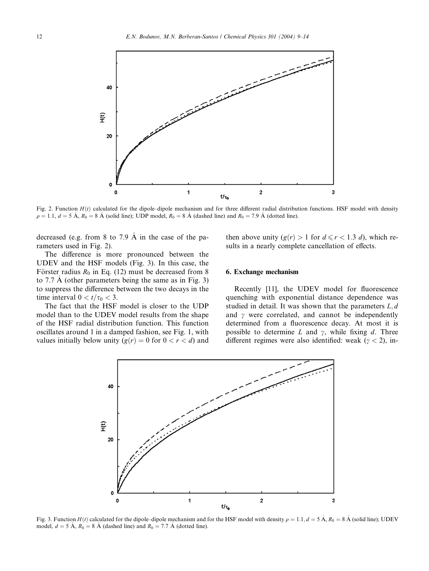

Fig. 2. Function  $H(t)$  calculated for the dipole–dipole mechanism and for three different radial distribution functions. HSF model with density  $\rho = 1.1, d = 5 \text{ Å}, R_0 = 8 \text{ Å}$  (solid line); UDP model,  $R_0 = 8 \text{ Å}$  (dashed line) and  $R_0 = 7.9 \text{ Å}$  (dotted line).

decreased (e.g. from 8 to 7.9  $\AA$  in the case of the parameters used in Fig. 2).

The difference is more pronounced between the UDEV and the HSF models (Fig. 3). In this case, the Förster radius  $R_0$  in Eq. (12) must be decreased from 8 to 7.7  $\AA$  (other parameters being the same as in Fig. 3) to suppress the difference between the two decays in the time interval  $0 < t/\tau_0 < 3$ .

The fact that the HSF model is closer to the UDP model than to the UDEV model results from the shape of the HSF radial distribution function. This function oscillates around 1 in a damped fashion, see Fig. 1, with values initially below unity  $(g(r) = 0$  for  $0 < r < d$ ) and then above unity  $(g(r) > 1$  for  $d \le r < 1.3 d$ , which results in a nearly complete cancellation of effects.

# 6. Exchange mechanism

Recently [11], the UDEV model for fluorescence quenching with exponential distance dependence was studied in detail. It was shown that the parameters  $L, d$ and  $\gamma$  were correlated, and cannot be independently determined from a fluorescence decay. At most it is possible to determine L and  $\gamma$ , while fixing d. Three different regimes were also identified: weak ( $\gamma$  < 2), in-



Fig. 3. Function  $H(t)$  calculated for the dipole–dipole mechanism and for the HSF model with density  $\rho = 1.1$ ,  $d = 5$  Å,  $R_0 = 8$  Å (solid line); UDEV model,  $d = 5 \text{ Å}$ ,  $R_0 = 8 \text{ Å}$  (dashed line) and  $R_0 = 7.7 \text{ Å}$  (dotted line).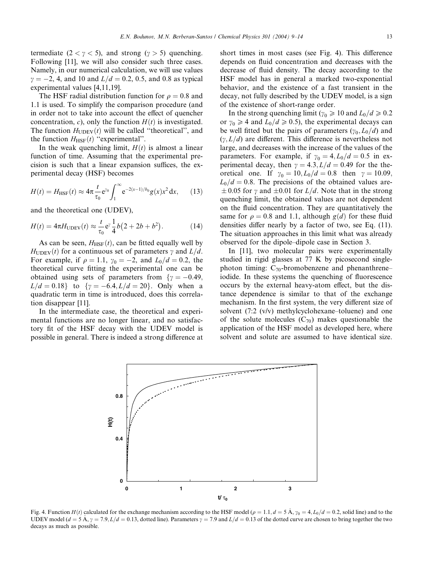termediate  $(2 < \gamma < 5)$ , and strong  $(\gamma > 5)$  quenching. Following [11], we will also consider such three cases. Namely, in our numerical calculation, we will use values  $\gamma = -2$ , 4, and 10 and  $L/d = 0.2$ , 0.5, and 0.8 as typical experimental values [4,11,19].

The HSF radial distribution function for  $\rho = 0.8$  and 1.1 is used. To simplify the comparison procedure (and in order not to take into account the effect of quencher concentration, c), only the function  $H(t)$  is investigated. The function  $H_{\text{UDEV}}(t)$  will be called "theoretical", and the function  $H_{HSF}(t)$  "experimental".

In the weak quenching limit,  $H(t)$  is almost a linear function of time. Assuming that the experimental precision is such that a linear expansion suffices, the experimental decay (HSF) becomes

$$
H(t) = H_{\text{HSF}}(t) \approx 4\pi \frac{t}{\tau_0} e^{\gamma_0} \int_1^{\infty} e^{-2(x-1)/b_0} g(x) x^2 dx, \qquad (13)
$$

and the theoretical one (UDEV),

$$
H(t) = 4\pi H_{\text{UDEV}}(t) \approx \frac{t}{\tau_0} e^{\gamma} \frac{1}{4} b (2 + 2b + b^2). \tag{14}
$$

As can be seen,  $H_{HSF}(t)$ , can be fitted equally well by  $H_{\text{UDEV}}(t)$  for a continuous set of parameters  $\gamma$  and  $L/d$ . For example, if  $\rho = 1.1$ ,  $\gamma_0 = -2$ , and  $L_0/d = 0.2$ , the theoretical curve fitting the experimental one can be obtained using sets of parameters from  $\gamma = -0.49$ ,  $L/d = 0.18$ } to  $\{\gamma = -6.4, L/d = 20\}$ . Only when a quadratic term in time is introduced, does this correlation disappear [11].

In the intermediate case, the theoretical and experimental functions are no longer linear, and no satisfactory fit of the HSF decay with the UDEV model is possible in general. There is indeed a strong difference at short times in most cases (see Fig. 4). This difference depends on fluid concentration and decreases with the decrease of fluid density. The decay according to the HSF model has in general a marked two-exponential behavior, and the existence of a fast transient in the decay, not fully described by the UDEV model, is a sign of the existence of short-range order.

In the strong quenching limit ( $\gamma_0 \geq 10$  and  $L_0/d \geq 0.2$ or  $\gamma_0 \ge 4$  and  $L_0/d \ge 0.5$ ), the experimental decays can be well fitted but the pairs of parameters  $(\gamma_0, L_0/d)$  and  $(v, L/d)$  are different. This difference is nevertheless not large, and decreases with the increase of the values of the parameters. For example, if  $\gamma_0 = 4$ ,  $L_0/d = 0.5$  in experimental decay, then  $\gamma = 4.3, L/d = 0.49$  for the theoretical one. If  $\gamma_0 = 10, L_0/d = 0.8$  then  $\gamma = 10.09$ ,  $L_0/d = 0.8$ . The precisions of the obtained values are- $\pm 0.05$  for  $\gamma$  and  $\pm 0.01$  for  $L/d$ . Note that in the strong quenching limit, the obtained values are not dependent on the fluid concentration. They are quantitatively the same for  $\rho = 0.8$  and 1.1, although  $g(d)$  for these fluid densities differ nearly by a factor of two, see Eq. (11). The situation approaches in this limit what was already observed for the dipole–dipole case in Section 3.

In [11], two molecular pairs were experimentally studied in rigid glasses at 77 K by picosecond singlephoton timing:  $C_{70}$ -bromobenzene and phenanthrene– iodide. In these systems the quenching of fluorescence occurs by the external heavy-atom effect, but the distance dependence is similar to that of the exchange mechanism. In the first system, the very different size of solvent (7:2 (v/v) methylcyclohexane–toluene) and one of the solute molecules  $(C_{70})$  makes questionable the application of the HSF model as developed here, where solvent and solute are assumed to have identical size.



Fig. 4. Function  $H(t)$  calculated for the exchange mechanism according to the HSF model ( $\rho = 1.1$ ,  $d = 5$  Å,  $\gamma_0 = 4$ ,  $L_0/d = 0.2$ , solid line) and to the UDEV model  $(d = \dot{5} \text{ Å}, \gamma = 7.9, L/d = 0.13, \text{dotted line}$ . Parameters  $\gamma = 7.9$  and  $L/d = 0.13$  of the dotted curve are chosen to bring together the two decays as much as possible.